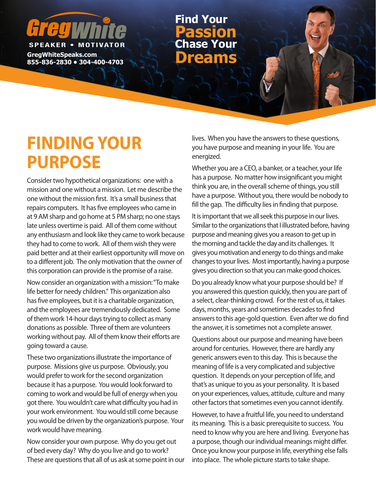# **SPEAKER • MOTIVATOR**

**GregWhiteSpeaks.com 855-836-2830 • 304-400-4703 Dreams**

**Chase Your Passion Find Your**

## **FINDING YOUR PURPOSE**

Consider two hypothetical organizations: one with a mission and one without a mission. Let me describe the one without the mission first. It's a small business that repairs computers. It has five employees who came in at 9 AM sharp and go home at 5 PM sharp; no one stays late unless overtime is paid. All of them come without any enthusiasm and look like they came to work because they had to come to work. All of them wish they were paid better and at their earliest opportunity will move on to a different job. The only motivation that the owner of this corporation can provide is the promise of a raise.

Now consider an organization with a mission: "To make life better for needy children." This organization also has five employees, but it is a charitable organization, and the employees are tremendously dedicated. Some of them work 14-hour days trying to collect as many donations as possible. Three of them are volunteers working without pay. All of them know their efforts are going toward a cause.

These two organizations illustrate the importance of purpose. Missions give us purpose. Obviously, you would prefer to work for the second organization because it has a purpose. You would look forward to coming to work and would be full of energy when you got there. You wouldn't care what difficulty you had in your work environment. You would still come because you would be driven by the organization's purpose. Your work would have meaning.

Now consider your own purpose. Why do you get out of bed every day? Why do you live and go to work? These are questions that all of us ask at some point in our lives. When you have the answers to these questions, you have purpose and meaning in your life. You are energized.

Whether you are a CEO, a banker, or a teacher, your life has a purpose. No matter how insignificant you might think you are, in the overall scheme of things, you still have a purpose. Without you, there would be nobody to fill the gap. The difficulty lies in finding that purpose.

It is important that we all seek this purpose in our lives. Similar to the organizations that I illustrated before, having purpose and meaning gives you a reason to get up in the morning and tackle the day and its challenges. It gives you motivation and energy to do things and make changes to your lives. Most importantly, having a purpose gives you direction so that you can make good choices.

Do you already know what your purpose should be? If you answered this question quickly, then you are part of a select, clear-thinking crowd. For the rest of us, it takes days, months, years and sometimes decades to find answers to this age-gold question. Even after we do find the answer, it is sometimes not a complete answer.

Questions about our purpose and meaning have been around for centuries. However, there are hardly any generic answers even to this day. This is because the meaning of life is a very complicated and subjective question. It depends on your perception of life, and that's as unique to you as your personality. It is based on your experiences, values, attitude, culture and many other factors that sometimes even you cannot identify.

However, to have a fruitful life, you need to understand its meaning. This is a basic prerequisite to success. You need to know why you are here and living. Everyone has a purpose, though our individual meanings might differ. Once you know your purpose in life, everything else falls into place. The whole picture starts to take shape.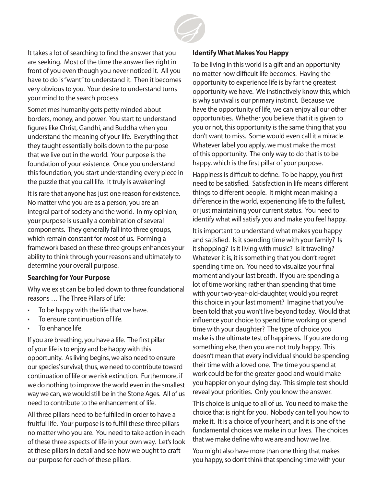

It takes a lot of searching to find the answer that you are seeking. Most of the time the answer lies right in front of you even though you never noticed it. All you have to do is "want" to understand it. Then it becomes very obvious to you. Your desire to understand turns your mind to the search process.

Sometimes humanity gets petty minded about borders, money, and power. You start to understand figures like Christ, Gandhi, and Buddha when you understand the meaning of your life. Everything that they taught essentially boils down to the purpose that we live out in the world. Your purpose is the foundation of your existence. Once you understand this foundation, you start understanding every piece in the puzzle that you call life. It truly is awakening!

It is rare that anyone has just one reason for existence. No matter who you are as a person, you are an integral part of society and the world. In my opinion, your purpose is usually a combination of several components. They generally fall into three groups, which remain constant for most of us. Forming a framework based on these three groups enhances your ability to think through your reasons and ultimately to determine your overall purpose.

#### **Searching for Your Purpose**

Why we exist can be boiled down to three foundational reasons … The Three Pillars of Life:

- To be happy with the life that we have.
- To ensure continuation of life.
- To enhance life.

If you are breathing, you have a life. The first pillar of your life is to enjoy and be happy with this opportunity. As living begins, we also need to ensure our species' survival; thus, we need to contribute toward continuation of life or we risk extinction. Furthermore, if we do nothing to improve the world even in the smallest way we can, we would still be in the Stone Ages. All of us need to contribute to the enhancement of life.

All three pillars need to be fulfilled in order to have a fruitful life. Your purpose is to fulfill these three pillars no matter who you are. You need to take action in each of these three aspects of life in your own way. Let's look at these pillars in detail and see how we ought to craft our purpose for each of these pillars.

#### **Identify What Makes You Happy**

To be living in this world is a gift and an opportunity no matter how difficult life becomes. Having the opportunity to experience life is by far the greatest opportunity we have. We instinctively know this, which is why survival is our primary instinct. Because we have the opportunity of life, we can enjoy all our other opportunities. Whether you believe that it is given to you or not, this opportunity is the same thing that you don't want to miss. Some would even call it a miracle. Whatever label you apply, we must make the most of this opportunity. The only way to do that is to be happy, which is the first pillar of your purpose.

Happiness is difficult to define. To be happy, you first need to be satisfied. Satisfaction in life means different things to different people. It might mean making a difference in the world, experiencing life to the fullest, or just maintaining your current status. You need to identify what will satisfy you and make you feel happy.

It is important to understand what makes you happy and satisfied. Is it spending time with your family? Is it shopping? Is it living with music? Is it traveling? Whatever it is, it is something that you don't regret spending time on. You need to visualize your final moment and your last breath. If you are spending a lot of time working rather than spending that time with your two-year-old-daughter, would you regret this choice in your last moment? Imagine that you've been told that you won't live beyond today. Would that influence your choice to spend time working or spend time with your daughter? The type of choice you make is the ultimate test of happiness. If you are doing something else, then you are not truly happy. This doesn't mean that every individual should be spending their time with a loved one. The time you spend at work could be for the greater good and would make you happier on your dying day. This simple test should reveal your priorities. Only you know the answer.

This choice is unique to all of us. You need to make the choice that is right for you. Nobody can tell you how to make it. It is a choice of your heart, and it is one of the fundamental choices we make in our lives. The choices that we make define who we are and how we live.

You might also have more than one thing that makes you happy, so don't think that spending time with your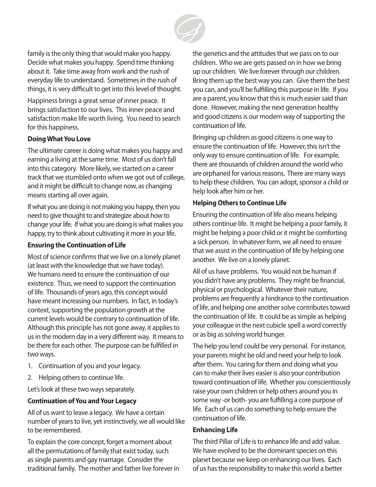

family is the only thing that would make you happy. Decide what makes you happy. Spend time thinking about it. Take time away from work and the rush of everyday life to understand. Sometimes in the rush of things, it is very difficult to get into this level of thought.

Happiness brings a great sense of inner peace. It brings satisfaction to our lives. This inner peace and satisfaction make life worth living. You need to search for this happiness.

#### **Doing What You Love**

The ultimate career is doing what makes you happy and earning a living at the same time. Most of us don't fall into this category. More likely, we started on a career track that we stumbled onto when we got out of college, and it might be difficult to change now, as changing means starting all over again.

If what you are doing is not making you happy, then you need to give thought to and strategize about how to change your life. If what you are doing is what makes you happy, try to think about cultivating it more in your life.

#### **Ensuring the Continuation of Life**

Most of science confirms that we live on a lonely planet (at least with the knowledge that we have today). We humans need to ensure the continuation of our existence. Thus, we need to support the continuation of life. Thousands of years ago, this concept would have meant increasing our numbers. In fact, in today's context, supporting the population growth at the current levels would be contrary to continuation of life. Although this principle has not gone away, it applies to us in the modern day in a very different way. It means to be there for each other. The purpose can be fulfilled in two ways.

- 1. Continuation of you and your legacy.
- 2. Helping others to continue life.

Let's look at these two ways separately.

#### **Continuation of You and Your Legacy**

All of us want to leave a legacy. We have a certain number of years to live, yet instinctively, we all would like to be remembered.

To explain the core concept, forget a moment about all the permutations of family that exist today, such as single parents and gay marriage. Consider the traditional family. The mother and father live forever in

the genetics and the attitudes that we pass on to our children. Who we are gets passed on in how we bring up our children. We live forever through our children. Bring them up the best way you can. Give them the best you can, and you'll be fulfilling this purpose in life. If you are a parent, you know that this is much easier said than done. However, making the next generation healthy and good citizens is our modern way of supporting the continuation of life.

Bringing up children as good citizens is one way to ensure the continuation of life. However, this isn't the only way to ensure continuation of life. For example, there are thousands of children around the world who are orphaned for various reasons. There are many ways to help these children. You can adopt, sponsor a child or help look after him or her.

#### **Helping Others to Continue Life**

Ensuring the continuation of life also means helping others continue life. It might be helping a poor family, it might be helping a poor child or it might be comforting a sick person. In whatever form, we all need to ensure that we assist in the continuation of life by helping one another. We live on a lonely planet.

All of us have problems. You would not be human if you didn't have any problems. They might be financial, physical or psychological. Whatever their nature, problems are frequently a hindrance to the continuation of life, and helping one another solve contributes toward the continuation of life. It could be as simple as helping your colleague in the next cubicle spell a word correctly or as big as solving world hunger.

The help you lend could be very personal. For instance, your parents might be old and need your help to look after them. You caring for them and doing what you can to make their lives easier is also your contribution toward continuation of life. Whether you conscientiously raise your own children or help others around you in some way -or both- you are fulfilling a core purpose of life. Each of us can do something to help ensure the continuation of life.

#### **Enhancing Life**

The third Pillar of Life is to enhance life and add value. We have evolved to be the dominant species on this planet because we keep on enhancing our lives. Each of us has the responsibility to make this world a better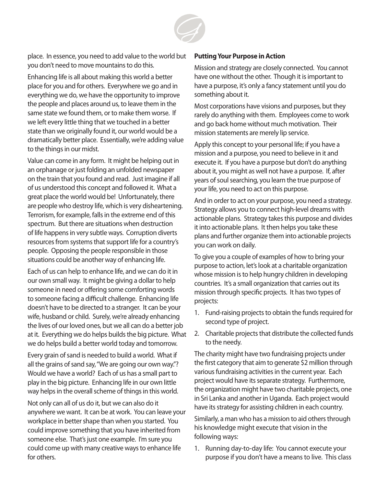

place. In essence, you need to add value to the world but you don't need to move mountains to do this.

Enhancing life is all about making this world a better place for you and for others. Everywhere we go and in everything we do, we have the opportunity to improve the people and places around us, to leave them in the same state we found them, or to make them worse. If we left every little thing that we touched in a better state than we originally found it, our world would be a dramatically better place. Essentially, we're adding value to the things in our midst.

Value can come in any form. It might be helping out in an orphanage or just folding an unfolded newspaper on the train that you found and read. Just imagine if all of us understood this concept and followed it. What a great place the world would be! Unfortunately, there are people who destroy life, which is very disheartening. Terrorism, for example, falls in the extreme end of this spectrum. But there are situations when destruction of life happens in very subtle ways. Corruption diverts resources from systems that support life for a country's people. Opposing the people responsible in those situations could be another way of enhancing life.

Each of us can help to enhance life, and we can do it in our own small way. It might be giving a dollar to help someone in need or offering some comforting words to someone facing a difficult challenge. Enhancing life doesn't have to be directed to a stranger. It can be your wife, husband or child. Surely, we're already enhancing the lives of our loved ones, but we all can do a better job at it. Everything we do helps builds the big picture. What we do helps build a better world today and tomorrow.

Every grain of sand is needed to build a world. What if all the grains of sand say, "We are going our own way."? Would we have a world? Each of us has a small part to play in the big picture. Enhancing life in our own little way helps in the overall scheme of things in this world.

Not only can all of us do it, but we can also do it anywhere we want. It can be at work. You can leave your workplace in better shape than when you started. You could improve something that you have inherited from someone else. That's just one example. I'm sure you could come up with many creative ways to enhance life for others.

#### **Putting Your Purpose in Action**

Mission and strategy are closely connected. You cannot have one without the other. Though it is important to have a purpose, it's only a fancy statement until you do something about it.

Most corporations have visions and purposes, but they rarely do anything with them. Employees come to work and go back home without much motivation. Their mission statements are merely lip service.

Apply this concept to your personal life; if you have a mission and a purpose, you need to believe in it and execute it. If you have a purpose but don't do anything about it, you might as well not have a purpose. If, after years of soul searching, you learn the true purpose of your life, you need to act on this purpose.

And in order to act on your purpose, you need a strategy. Strategy allows you to connect high-level dreams with actionable plans. Strategy takes this purpose and divides it into actionable plans. It then helps you take these plans and further organize them into actionable projects you can work on daily.

To give you a couple of examples of how to bring your purpose to action, let's look at a charitable organization whose mission is to help hungry children in developing countries. It's a small organization that carries out its mission through specific projects. It has two types of projects:

- 1. Fund-raising projects to obtain the funds required for second type of project.
- 2. Charitable projects that distribute the collected funds to the needy.

The charity might have two fundraising projects under the first category that aim to generate \$2 million through various fundraising activities in the current year. Each project would have its separate strategy. Furthermore, the organization might have two charitable projects, one in Sri Lanka and another in Uganda. Each project would have its strategy for assisting children in each country.

Similarly, a man who has a mission to aid others through his knowledge might execute that vision in the following ways:

1. Running day-to-day life: You cannot execute your purpose if you don't have a means to live. This class